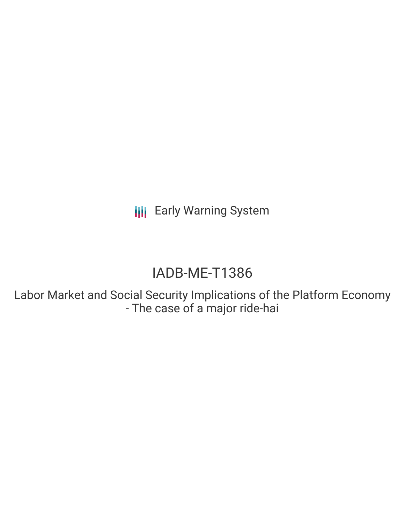**III** Early Warning System

# IADB-ME-T1386

Labor Market and Social Security Implications of the Platform Economy - The case of a major ride-hai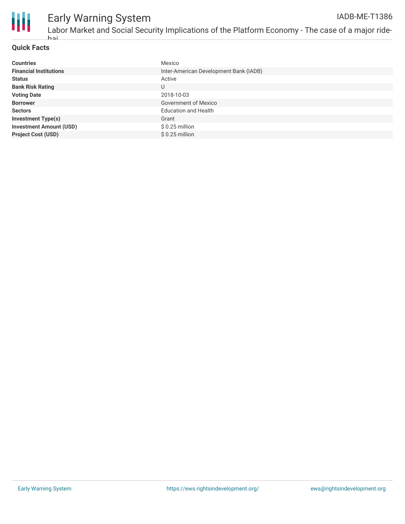

### **Quick Facts**

hai

| <b>Countries</b>               | Mexico                                 |
|--------------------------------|----------------------------------------|
| <b>Financial Institutions</b>  | Inter-American Development Bank (IADB) |
| <b>Status</b>                  | Active                                 |
| <b>Bank Risk Rating</b>        | U                                      |
| <b>Voting Date</b>             | 2018-10-03                             |
| <b>Borrower</b>                | <b>Government of Mexico</b>            |
| <b>Sectors</b>                 | <b>Education and Health</b>            |
| <b>Investment Type(s)</b>      | Grant                                  |
| <b>Investment Amount (USD)</b> | $$0.25$ million                        |
| <b>Project Cost (USD)</b>      | $$0.25$ million                        |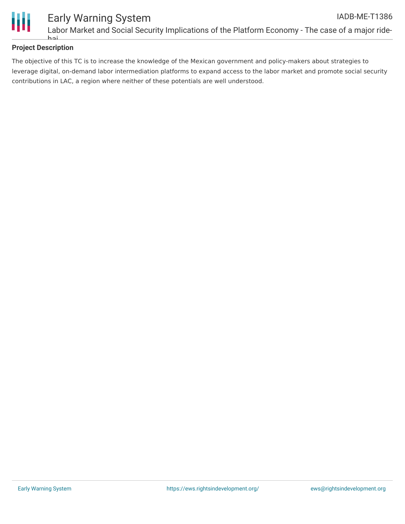

# **Project Description**

hai

The objective of this TC is to increase the knowledge of the Mexican government and policy-makers about strategies to leverage digital, on-demand labor intermediation platforms to expand access to the labor market and promote social security contributions in LAC, a region where neither of these potentials are well understood.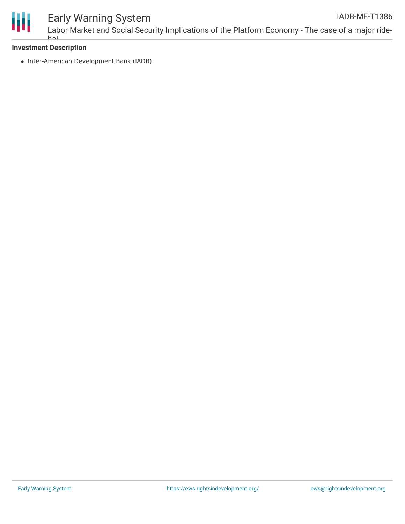

#### Early Warning System Labor Market and Social Security Implications of the Platform Economy - The case of a major ride-IADB-ME-T1386

#### **Investment Description** hai

• Inter-American Development Bank (IADB)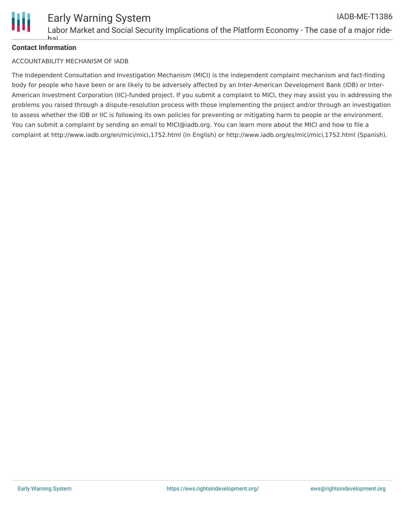

# **Contact Information**

hai

#### ACCOUNTABILITY MECHANISM OF IADB

The Independent Consultation and Investigation Mechanism (MICI) is the independent complaint mechanism and fact-finding body for people who have been or are likely to be adversely affected by an Inter-American Development Bank (IDB) or Inter-American Investment Corporation (IIC)-funded project. If you submit a complaint to MICI, they may assist you in addressing the problems you raised through a dispute-resolution process with those implementing the project and/or through an investigation to assess whether the IDB or IIC is following its own policies for preventing or mitigating harm to people or the environment. You can submit a complaint by sending an email to MICI@iadb.org. You can learn more about the MICI and how to file a complaint at http://www.iadb.org/en/mici/mici,1752.html (in English) or http://www.iadb.org/es/mici/mici,1752.html (Spanish).